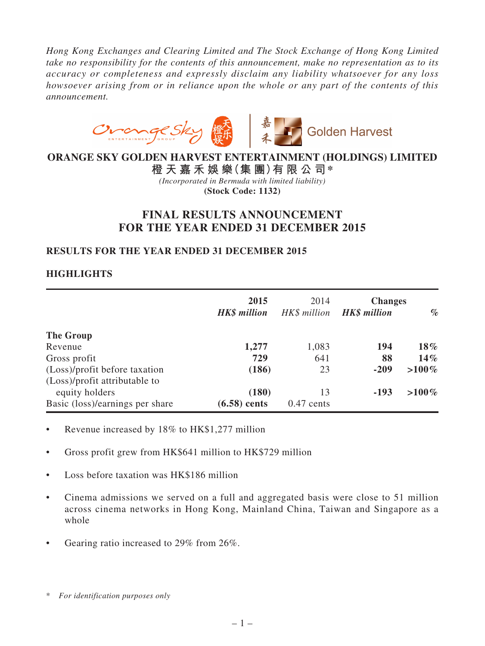*Hong Kong Exchanges and Clearing Limited and The Stock Exchange of Hong Kong Limited take no responsibility for the contents of this announcement, make no representation as to its accuracy or completeness and expressly disclaim any liability whatsoever for any loss howsoever arising from or in reliance upon the whole or any part of the contents of this announcement.*



# **ORANGE SKY GOLDEN HARVEST ENTERTAINMENT (HOLDINGS) LIMITED**

**橙 天 嘉 禾 娛 樂(集 團)有 限 公 司\*** *(Incorporated in Bermuda with limited liability)* **(Stock Code: 1132)**

# **FINAL RESULTS ANNOUNCEMENT FOR THE YEAR ENDED 31 DECEMBER 2015**

# **RESULTS FOR THE YEAR ENDED 31 DECEMBER 2015**

# **HIGHLIGHTS**

|                                                                | 2015<br><b>HK\$</b> million | 2014<br>HK\$ million | <b>Changes</b><br><b>HK\$</b> million | $\%$     |
|----------------------------------------------------------------|-----------------------------|----------------------|---------------------------------------|----------|
| The Group                                                      |                             |                      |                                       |          |
| Revenue                                                        | 1,277                       | 1,083                | 194                                   | 18%      |
| Gross profit                                                   | 729                         | 641                  | 88                                    | $14\%$   |
| (Loss)/profit before taxation<br>(Loss)/profit attributable to | (186)                       | 23                   | $-209$                                | $>100\%$ |
| equity holders                                                 | (180)                       | 13                   | $-193$                                | $>100\%$ |
| Basic (loss)/earnings per share                                | $(6.58)$ cents              | $0.47$ cents         |                                       |          |

- Revenue increased by 18% to HK\$1,277 million
- Gross profit grew from HK\$641 million to HK\$729 million
- Loss before taxation was HK\$186 million
- Cinema admissions we served on a full and aggregated basis were close to 51 million across cinema networks in Hong Kong, Mainland China, Taiwan and Singapore as a whole
- Gearing ratio increased to 29% from 26%.

<sup>\*</sup> *For identification purposes only*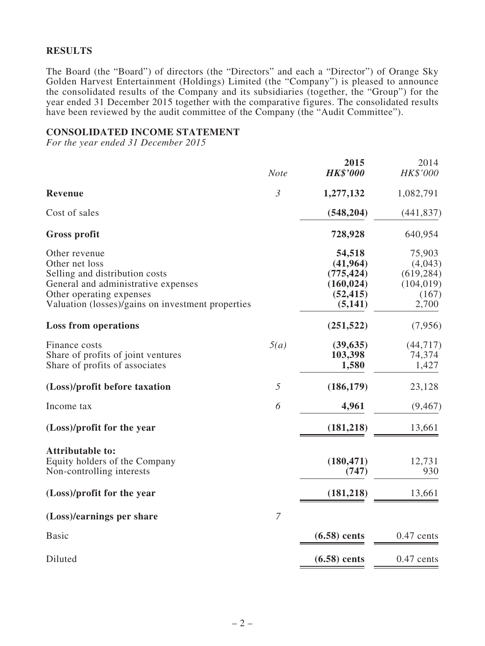### **RESULTS**

The Board (the "Board") of directors (the "Directors" and each a "Director") of Orange Sky Golden Harvest Entertainment (Holdings) Limited (the "Company") is pleased to announce the consolidated results of the Company and its subsidiaries (together, the "Group") for the year ended 31 December 2015 together with the comparative figures. The consolidated results have been reviewed by the audit committee of the Company (the "Audit Committee").

### **CONSOLIDATED INCOME STATEMENT**

*For the year ended 31 December 2015*

|                                                   | <b>Note</b>    | 2015<br><b>HK\$'000</b> | 2014<br>HK\$'000 |
|---------------------------------------------------|----------------|-------------------------|------------------|
| <b>Revenue</b>                                    | $\mathfrak{Z}$ | 1,277,132               | 1,082,791        |
| Cost of sales                                     |                | (548, 204)              | (441, 837)       |
| <b>Gross profit</b>                               |                | 728,928                 | 640,954          |
| Other revenue                                     |                | 54,518                  | 75,903           |
| Other net loss                                    |                | (41, 964)               | (4,043)          |
| Selling and distribution costs                    |                | (775, 424)              | (619, 284)       |
| General and administrative expenses               |                | (160, 024)              | (104, 019)       |
| Other operating expenses                          |                | (52, 415)               | (167)            |
| Valuation (losses)/gains on investment properties |                | (5, 141)                | 2,700            |
| <b>Loss from operations</b>                       |                | (251, 522)              | (7,956)          |
| Finance costs                                     | 5(a)           | (39, 635)               | (44, 717)        |
| Share of profits of joint ventures                |                | 103,398                 | 74,374           |
| Share of profits of associates                    |                | 1,580                   | 1,427            |
| (Loss)/profit before taxation                     | 5              | (186, 179)              | 23,128           |
| Income tax                                        | 6              | 4,961                   | (9, 467)         |
| (Loss)/profit for the year                        |                | (181, 218)              | 13,661           |
| <b>Attributable to:</b>                           |                |                         |                  |
| Equity holders of the Company                     |                | (180, 471)              | 12,731           |
| Non-controlling interests                         |                | (747)                   | 930              |
| (Loss)/profit for the year                        |                | (181, 218)              | 13,661           |
| (Loss)/earnings per share                         | $\overline{7}$ |                         |                  |
| <b>Basic</b>                                      |                | $(6.58)$ cents          | $0.47$ cents     |
| Diluted                                           |                | $(6.58)$ cents          | $0.47$ cents     |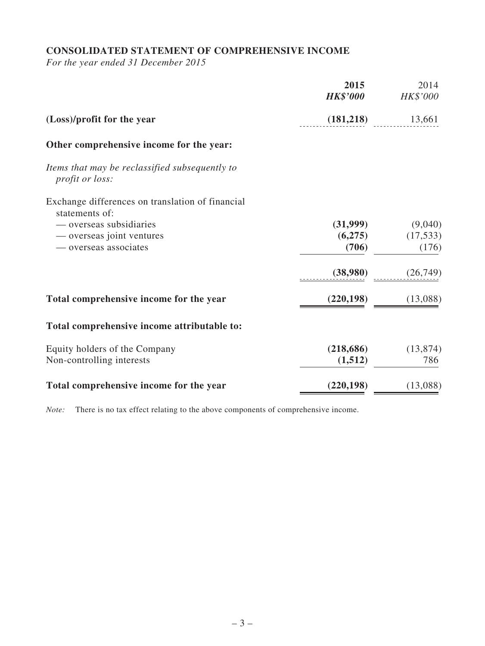# **CONSOLIDATED STATEMENT OF COMPREHENSIVE INCOME**

*For the year ended 31 December 2015*

|                                                                          | 2015<br><b>HK\$'000</b> | 2014<br><b>HK\$'000</b> |
|--------------------------------------------------------------------------|-------------------------|-------------------------|
| (Loss)/profit for the year                                               | (181,218)               | 13,661                  |
| Other comprehensive income for the year:                                 |                         |                         |
| Items that may be reclassified subsequently to<br><i>profit or loss:</i> |                         |                         |
| Exchange differences on translation of financial<br>statements of:       |                         |                         |
| — overseas subsidiaries                                                  | (31,999)                | (9,040)                 |
| — overseas joint ventures                                                | (6,275)                 | (17, 533)               |
| — overseas associates                                                    | (706)                   | (176)                   |
|                                                                          | (38,980)                | (26, 749)               |
| Total comprehensive income for the year                                  | (220, 198)              | (13,088)                |
| Total comprehensive income attributable to:                              |                         |                         |
| Equity holders of the Company                                            | (218, 686)              | (13, 874)               |
| Non-controlling interests                                                | (1,512)                 | 786                     |
| Total comprehensive income for the year                                  | (220, 198)              | (13,088)                |

*Note:* There is no tax effect relating to the above components of comprehensive income.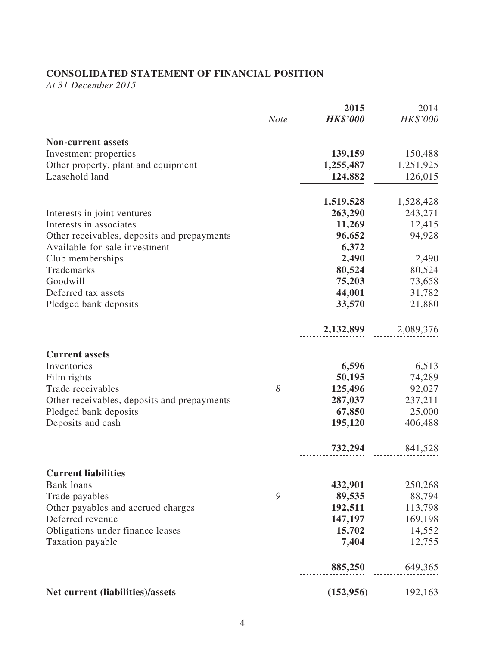# **CONSOLIDATED STATEMENT OF FINANCIAL POSITION**

*At 31 December 2015*

|                                             |             | 2015            | 2014      |
|---------------------------------------------|-------------|-----------------|-----------|
|                                             | <b>Note</b> | <b>HK\$'000</b> | HK\$'000  |
| <b>Non-current assets</b>                   |             |                 |           |
| Investment properties                       |             | 139,159         | 150,488   |
| Other property, plant and equipment         |             | 1,255,487       | 1,251,925 |
| Leasehold land                              |             | 124,882         | 126,015   |
|                                             |             | 1,519,528       | 1,528,428 |
| Interests in joint ventures                 |             | 263,290         | 243,271   |
| Interests in associates                     |             | 11,269          | 12,415    |
| Other receivables, deposits and prepayments |             | 96,652          | 94,928    |
| Available-for-sale investment               |             | 6,372           |           |
| Club memberships                            |             | 2,490           | 2,490     |
| Trademarks                                  |             | 80,524          | 80,524    |
| Goodwill                                    |             | 75,203          | 73,658    |
| Deferred tax assets                         |             | 44,001          | 31,782    |
| Pledged bank deposits                       |             | 33,570          | 21,880    |
|                                             |             | 2,132,899       | 2,089,376 |
| <b>Current assets</b>                       |             |                 |           |
| Inventories                                 |             | 6,596           | 6,513     |
| Film rights                                 |             | 50,195          | 74,289    |
| Trade receivables                           | 8           | 125,496         | 92,027    |
| Other receivables, deposits and prepayments |             | 287,037         | 237,211   |
| Pledged bank deposits                       |             | 67,850          | 25,000    |
| Deposits and cash                           |             | 195,120         | 406,488   |
|                                             |             | 732,294         | 841,528   |
| <b>Current liabilities</b>                  |             |                 |           |
| <b>Bank</b> loans                           |             | 432,901         | 250,268   |
| Trade payables                              | 9           | 89,535          | 88,794    |
| Other payables and accrued charges          |             | 192,511         | 113,798   |
| Deferred revenue                            |             | 147,197         | 169,198   |
| Obligations under finance leases            |             | 15,702          | 14,552    |
| Taxation payable                            |             | 7,404           | 12,755    |
|                                             |             | 885,250         | 649,365   |
| Net current (liabilities)/assets            |             | (152, 956)      | 192,163   |
|                                             |             |                 |           |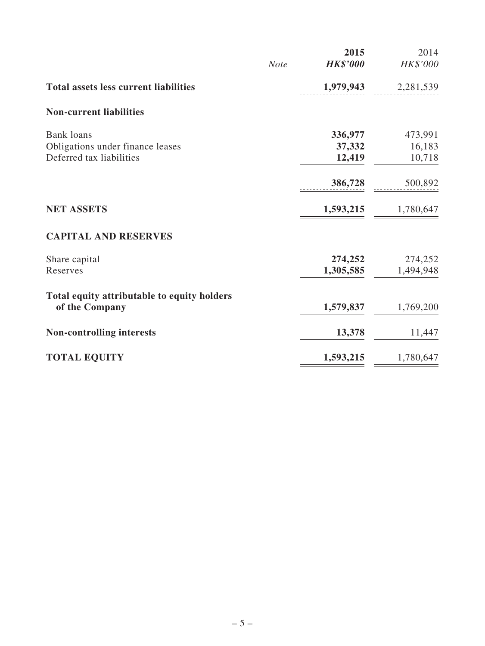|                                              |             | 2015            | 2014      |
|----------------------------------------------|-------------|-----------------|-----------|
|                                              | <b>Note</b> | <b>HK\$'000</b> | HK\$'000  |
| <b>Total assets less current liabilities</b> |             | 1,979,943       | 2,281,539 |
| <b>Non-current liabilities</b>               |             |                 |           |
| <b>Bank loans</b>                            |             | 336,977         | 473,991   |
| Obligations under finance leases             |             | 37,332          | 16,183    |
| Deferred tax liabilities                     |             | 12,419          | 10,718    |
|                                              |             | 386,728         | 500,892   |
| <b>NET ASSETS</b>                            |             | 1,593,215       | 1,780,647 |
| <b>CAPITAL AND RESERVES</b>                  |             |                 |           |
| Share capital                                |             | 274,252         | 274,252   |
| Reserves                                     |             | 1,305,585       | 1,494,948 |
| Total equity attributable to equity holders  |             |                 |           |
| of the Company                               |             | 1,579,837       | 1,769,200 |
| <b>Non-controlling interests</b>             |             | 13,378          | 11,447    |
| <b>TOTAL EQUITY</b>                          |             | 1,593,215       | 1,780,647 |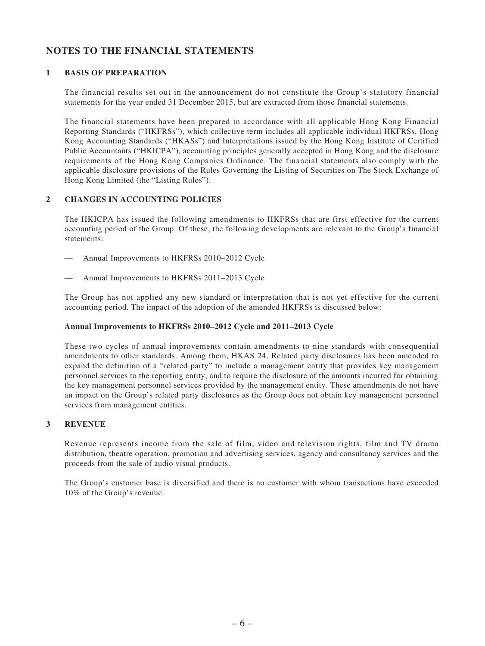# **NOTES TO THE FINANCIAL STATEMENTS**

### **1 BASIS OF PREPARATION**

The financial results set out in the announcement do not constitute the Group's statutory financial statements for the year ended 31 December 2015, but are extracted from those financial statements.

The financial statements have been prepared in accordance with all applicable Hong Kong Financial Reporting Standards ("HKFRSs"), which collective term includes all applicable individual HKFRSs, Hong Kong Accounting Standards ("HKASs") and Interpretations issued by the Hong Kong Institute of Certified Public Accountants ("HKICPA"), accounting principles generally accepted in Hong Kong and the disclosure requirements of the Hong Kong Companies Ordinance. The financial statements also comply with the applicable disclosure provisions of the Rules Governing the Listing of Securities on The Stock Exchange of Hong Kong Limited (the "Listing Rules").

### **2 CHANGES IN ACCOUNTING POLICIES**

The HKICPA has issued the following amendments to HKFRSs that are first effective for the current accounting period of the Group. Of these, the following developments are relevant to the Group's financial statements:

- Annual Improvements to HKFRSs 2010–2012 Cycle
- Annual Improvements to HKFRSs 2011-2013 Cycle

The Group has not applied any new standard or interpretation that is not yet effective for the current accounting period. The impact of the adoption of the amended HKFRSs is discussed below:

### **Annual Improvements to HKFRSs 2010–2012 Cycle and 2011–2013 Cycle**

These two cycles of annual improvements contain amendments to nine standards with consequential amendments to other standards. Among them, HKAS 24, Related party disclosures has been amended to expand the definition of a "related party" to include a management entity that provides key management personnel services to the reporting entity, and to require the disclosure of the amounts incurred for obtaining the key management personnel services provided by the management entity. These amendments do not have an impact on the Group's related party disclosures as the Group does not obtain key management personnel services from management entities.

### **3 REVENUE**

Revenue represents income from the sale of film, video and television rights, film and TV drama distribution, theatre operation, promotion and advertising services, agency and consultancy services and the proceeds from the sale of audio visual products.

The Group's customer base is diversified and there is no customer with whom transactions have exceeded 10% of the Group's revenue.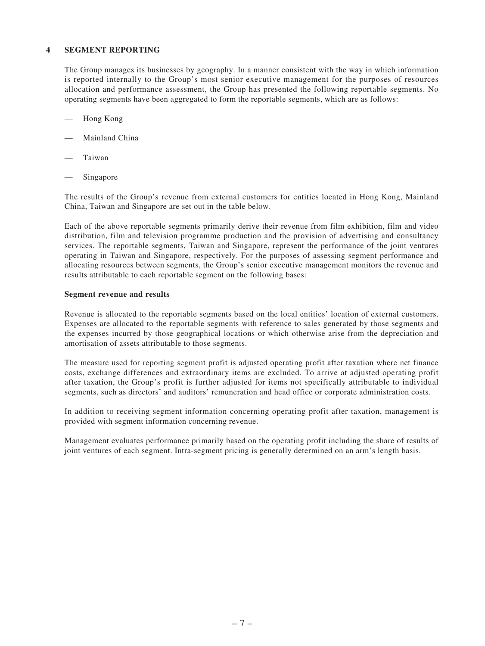#### **4 SEGMENT REPORTING**

The Group manages its businesses by geography. In a manner consistent with the way in which information is reported internally to the Group's most senior executive management for the purposes of resources allocation and performance assessment, the Group has presented the following reportable segments. No operating segments have been aggregated to form the reportable segments, which are as follows:

- Hong Kong
- Mainland China
- **Taiwan**
- Singapore

The results of the Group's revenue from external customers for entities located in Hong Kong, Mainland China, Taiwan and Singapore are set out in the table below.

Each of the above reportable segments primarily derive their revenue from film exhibition, film and video distribution, film and television programme production and the provision of advertising and consultancy services. The reportable segments, Taiwan and Singapore, represent the performance of the joint ventures operating in Taiwan and Singapore, respectively. For the purposes of assessing segment performance and allocating resources between segments, the Group's senior executive management monitors the revenue and results attributable to each reportable segment on the following bases:

#### **Segment revenue and results**

Revenue is allocated to the reportable segments based on the local entities' location of external customers. Expenses are allocated to the reportable segments with reference to sales generated by those segments and the expenses incurred by those geographical locations or which otherwise arise from the depreciation and amortisation of assets attributable to those segments.

The measure used for reporting segment profit is adjusted operating profit after taxation where net finance costs, exchange differences and extraordinary items are excluded. To arrive at adjusted operating profit after taxation, the Group's profit is further adjusted for items not specifically attributable to individual segments, such as directors' and auditors' remuneration and head office or corporate administration costs.

In addition to receiving segment information concerning operating profit after taxation, management is provided with segment information concerning revenue.

Management evaluates performance primarily based on the operating profit including the share of results of joint ventures of each segment. Intra-segment pricing is generally determined on an arm's length basis.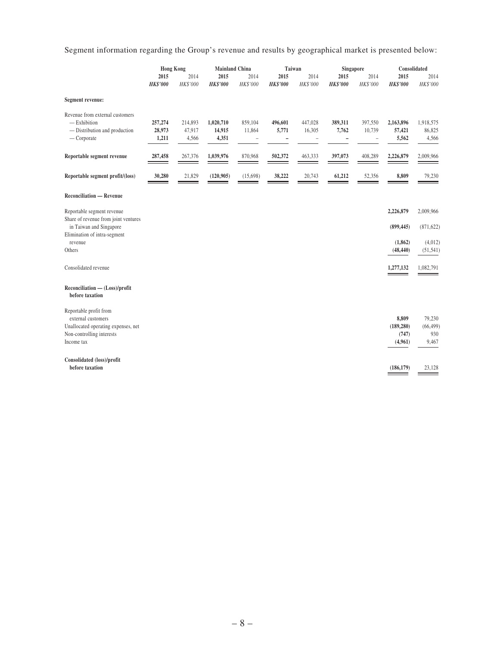Segment information regarding the Group's revenue and results by geographical market is presented below:

|                                                                                                                                | <b>Hong Kong</b>           |                            | <b>Mainland China</b>        |                                        | Taiwan                                |                        | Singapore               |                                               | Consolidated                            |                                     |
|--------------------------------------------------------------------------------------------------------------------------------|----------------------------|----------------------------|------------------------------|----------------------------------------|---------------------------------------|------------------------|-------------------------|-----------------------------------------------|-----------------------------------------|-------------------------------------|
|                                                                                                                                | 2015<br><b>HK\$'000</b>    | 2014<br>HK\$'000           | 2015<br><b>HK\$'000</b>      | 2014<br>HK\$'000                       | 2015<br><b>HK\$'000</b>               | 2014<br>HK\$'000       | 2015<br><b>HK\$'000</b> | 2014<br>HK\$'000                              | 2015<br><b>HK\$'000</b>                 | 2014<br>HK\$'000                    |
| Segment revenue:                                                                                                               |                            |                            |                              |                                        |                                       |                        |                         |                                               |                                         |                                     |
| Revenue from external customers<br>$-$ Exhibition<br>- Distribution and production<br>$-$ Corporate                            | 257,274<br>28,973<br>1,211 | 214,893<br>47,917<br>4,566 | 1,020,710<br>14,915<br>4,351 | 859,104<br>11,864<br>$\qquad \qquad -$ | 496,601<br>5,771<br>$\qquad \qquad -$ | 447,028<br>16,305<br>- | 389,311<br>7,762<br>-   | 397,550<br>10,739<br>$\overline{\phantom{a}}$ | 2,163,896<br>57,421<br>5,562            | 1,918,575<br>86,825<br>4,566        |
| Reportable segment revenue                                                                                                     | 287,458                    | 267,376                    | 1,039,976                    | 870,968                                | 502,372                               | 463,333                | 397,073                 | 408,289                                       | 2,226,879                               | 2,009,966                           |
| Reportable segment profit/(loss)                                                                                               | 30,280                     | 21,829<br>—                | (120, 905)                   | (15,698)                               | 38,222                                | 20,743                 | 61,212                  | 52,356                                        | 8,809                                   | 79,230                              |
| <b>Reconciliation — Revenue</b>                                                                                                |                            |                            |                              |                                        |                                       |                        |                         |                                               |                                         |                                     |
| Reportable segment revenue<br>Share of revenue from joint ventures<br>in Taiwan and Singapore                                  |                            |                            |                              |                                        |                                       |                        |                         |                                               | 2,226,879<br>(899, 445)                 | 2,009,966<br>(871, 622)             |
| Elimination of intra-segment<br>revenue<br>Others                                                                              |                            |                            |                              |                                        |                                       |                        |                         |                                               | (1, 862)<br>(48, 440)                   | (4,012)<br>(51, 541)                |
| Consolidated revenue                                                                                                           |                            |                            |                              |                                        |                                       |                        |                         |                                               | 1,277,132                               | 1,082,791                           |
| $Reconciliation$ - $(Loss)/profit$<br>before taxation                                                                          |                            |                            |                              |                                        |                                       |                        |                         |                                               |                                         |                                     |
| Reportable profit from<br>external customers<br>Unallocated operating expenses, net<br>Non-controlling interests<br>Income tax |                            |                            |                              |                                        |                                       |                        |                         |                                               | 8,809<br>(189, 280)<br>(747)<br>(4,961) | 79,230<br>(66, 499)<br>930<br>9,467 |
| Consolidated (loss)/profit<br>before taxation                                                                                  |                            |                            |                              |                                        |                                       |                        |                         |                                               | (186, 179)                              | 23,128                              |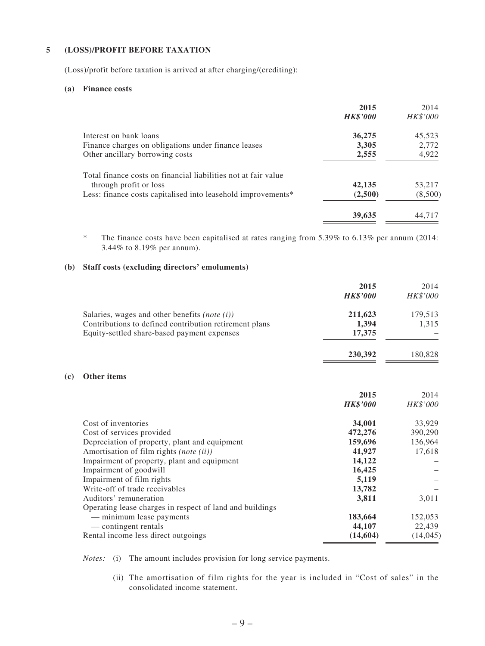### **5 (LOSS)/PROFIT BEFORE TAXATION**

(Loss)/profit before taxation is arrived at after charging/(crediting):

#### **(a) Finance costs**

**(c) Other items**

|                                                                | 2015<br><b>HK\$'000</b> | 2014<br>HK\$'000 |
|----------------------------------------------------------------|-------------------------|------------------|
| Interest on bank loans                                         | 36,275                  | 45,523           |
| Finance charges on obligations under finance leases            | 3,305                   | 2,772            |
| Other ancillary borrowing costs                                | 2,555                   | 4,922            |
| Total finance costs on financial liabilities not at fair value |                         |                  |
| through profit or loss                                         | 42,135                  | 53,217           |
| Less: finance costs capitalised into leasehold improvements*   | (2,500)                 | (8,500)          |
|                                                                | 39,635                  | 44,717           |

\* The finance costs have been capitalised at rates ranging from 5.39% to 6.13% per annum (2014: 3.44% to 8.19% per annum).

### **(b) Staff costs (excluding directors' emoluments)**

|                                                          | 2015            | 2014      |
|----------------------------------------------------------|-----------------|-----------|
|                                                          | <b>HK\$'000</b> | HK\$'000  |
| Salaries, wages and other benefits (note $(i)$ )         | 211,623         | 179,513   |
| Contributions to defined contribution retirement plans   | 1,394           | 1,315     |
| Equity-settled share-based payment expenses              | 17,375          |           |
|                                                          | 230,392         | 180,828   |
| <b>Other items</b>                                       |                 |           |
|                                                          | 2015            | 2014      |
|                                                          | <b>HK\$'000</b> | HK\$'000  |
| Cost of inventories                                      | 34,001          | 33,929    |
| Cost of services provided                                | 472,276         | 390,290   |
| Depreciation of property, plant and equipment            | 159,696         | 136,964   |
| Amortisation of film rights (note (ii))                  | 41,927          | 17,618    |
| Impairment of property, plant and equipment              | 14,122          |           |
| Impairment of goodwill                                   | 16,425          |           |
| Impairment of film rights                                | 5,119           |           |
| Write-off of trade receivables                           | 13,782          |           |
| Auditors' remuneration                                   | 3,811           | 3,011     |
| Operating lease charges in respect of land and buildings |                 |           |
| - minimum lease payments                                 | 183,664         | 152,053   |
| — contingent rentals                                     | 44,107          | 22,439    |
| Rental income less direct outgoings                      | (14, 604)       | (14, 045) |

*Notes:* (i) The amount includes provision for long service payments.

 (ii) The amortisation of film rights for the year is included in "Cost of sales" in the consolidated income statement.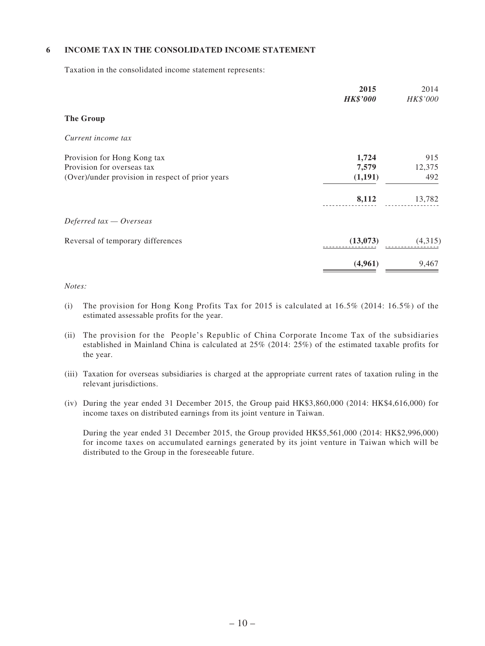### **6 INCOME TAX IN THE CONSOLIDATED INCOME STATEMENT**

Taxation in the consolidated income statement represents:

|                                                  | 2015<br><b>HK\$'000</b> | 2014<br>HK\$'000 |
|--------------------------------------------------|-------------------------|------------------|
| <b>The Group</b>                                 |                         |                  |
| Current income tax                               |                         |                  |
| Provision for Hong Kong tax                      | 1,724                   | 915              |
| Provision for overseas tax                       | 7,579                   | 12,375           |
| (Over)/under provision in respect of prior years | (1,191)                 | 492              |
|                                                  | 8,112                   | 13,782           |
| Deferred $tax - Overseas$                        |                         |                  |
| Reversal of temporary differences                | (13,073)                | (4,315)          |
|                                                  | (4,961)                 | 9,467            |

#### *Notes:*

- (i) The provision for Hong Kong Profits Tax for 2015 is calculated at  $16.5\%$  (2014:  $16.5\%$ ) of the estimated assessable profits for the year.
- (ii) The provision for the People's Republic of China Corporate Income Tax of the subsidiaries established in Mainland China is calculated at 25% (2014: 25%) of the estimated taxable profits for the year.
- (iii) Taxation for overseas subsidiaries is charged at the appropriate current rates of taxation ruling in the relevant jurisdictions.
- (iv) During the year ended 31 December 2015, the Group paid HK\$3,860,000 (2014: HK\$4,616,000) for income taxes on distributed earnings from its joint venture in Taiwan.

During the year ended 31 December 2015, the Group provided HK\$5,561,000 (2014: HK\$2,996,000) for income taxes on accumulated earnings generated by its joint venture in Taiwan which will be distributed to the Group in the foreseeable future.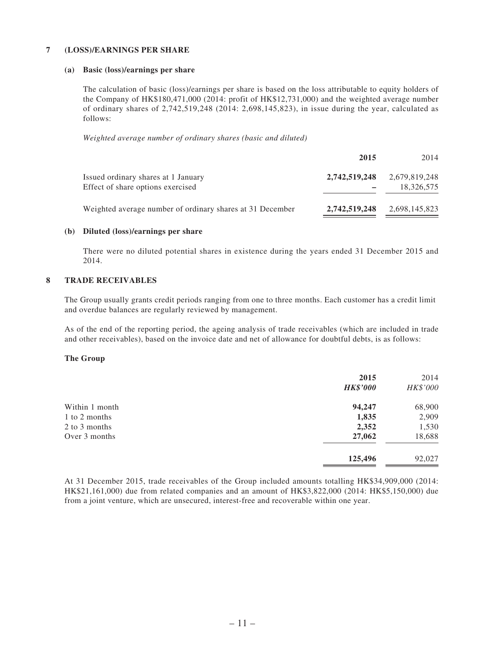#### **7 (LOSS)/EARNINGS PER SHARE**

#### **(a) Basic (loss)/earnings per share**

The calculation of basic (loss)/earnings per share is based on the loss attributable to equity holders of the Company of HK\$180,471,000 (2014: profit of HK\$12,731,000) and the weighted average number of ordinary shares of 2,742,519,248 (2014: 2,698,145,823), in issue during the year, calculated as follows:

*Weighted average number of ordinary shares (basic and diluted)*

|                                                                          | 2015          | 2014                        |
|--------------------------------------------------------------------------|---------------|-----------------------------|
| Issued ordinary shares at 1 January<br>Effect of share options exercised | 2,742,519,248 | 2,679,819,248<br>18.326.575 |
| Weighted average number of ordinary shares at 31 December                | 2,742,519,248 | 2,698,145,823               |

#### **(b) Diluted (loss)/earnings per share**

There were no diluted potential shares in existence during the years ended 31 December 2015 and 2014.

### **8 TRADE RECEIVABLES**

The Group usually grants credit periods ranging from one to three months. Each customer has a credit limit and overdue balances are regularly reviewed by management.

As of the end of the reporting period, the ageing analysis of trade receivables (which are included in trade and other receivables), based on the invoice date and net of allowance for doubtful debts, is as follows:

### **The Group**

|                | 2015<br><b>HK\$'000</b> | 2014<br>HK\$'000 |
|----------------|-------------------------|------------------|
| Within 1 month | 94,247                  | 68,900           |
| 1 to 2 months  | 1,835                   | 2,909            |
| 2 to 3 months  | 2,352                   | 1,530            |
| Over 3 months  | 27,062                  | 18,688           |
|                | 125,496                 | 92,027           |

At 31 December 2015, trade receivables of the Group included amounts totalling HK\$34,909,000 (2014: HK\$21,161,000) due from related companies and an amount of HK\$3,822,000 (2014: HK\$5,150,000) due from a joint venture, which are unsecured, interest-free and recoverable within one year.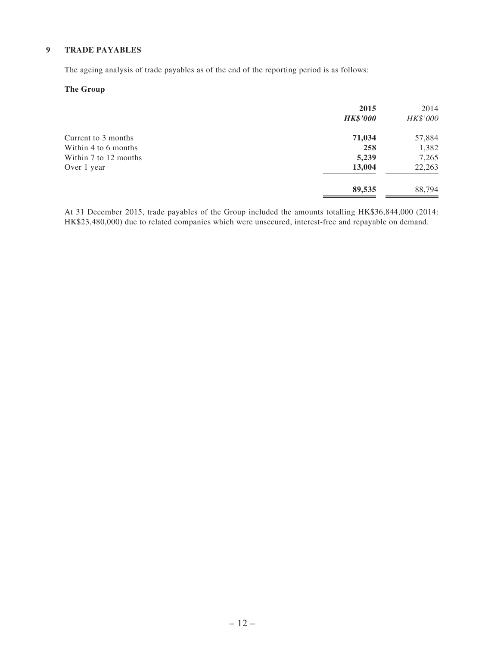### **9 TRADE PAYABLES**

The ageing analysis of trade payables as of the end of the reporting period is as follows:

### **The Group**

| 2015<br><b>HK\$'000</b> | 2014<br>HK\$'000 |
|-------------------------|------------------|
| 71,034                  | 57,884           |
| 258                     | 1,382            |
| 5,239                   | 7,265            |
| 13,004                  | 22,263           |
| 89,535                  | 88,794           |
|                         |                  |

At 31 December 2015, trade payables of the Group included the amounts totalling HK\$36,844,000 (2014: HK\$23,480,000) due to related companies which were unsecured, interest-free and repayable on demand.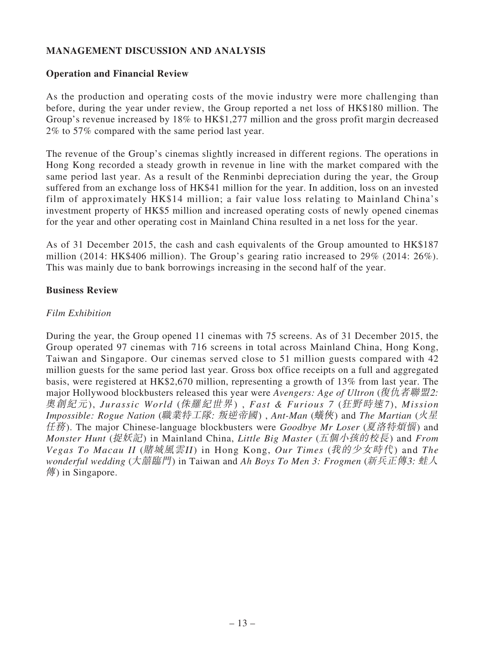# **MANAGEMENT DISCUSSION AND ANALYSIS**

### **Operation and Financial Review**

As the production and operating costs of the movie industry were more challenging than before, during the year under review, the Group reported a net loss of HK\$180 million. The Group's revenue increased by 18% to HK\$1,277 million and the gross profit margin decreased 2% to 57% compared with the same period last year.

The revenue of the Group's cinemas slightly increased in different regions. The operations in Hong Kong recorded a steady growth in revenue in line with the market compared with the same period last year. As a result of the Renminbi depreciation during the year, the Group suffered from an exchange loss of HK\$41 million for the year. In addition, loss on an invested film of approximately HK\$14 million; a fair value loss relating to Mainland China's investment property of HK\$5 million and increased operating costs of newly opened cinemas for the year and other operating cost in Mainland China resulted in a net loss for the year.

As of 31 December 2015, the cash and cash equivalents of the Group amounted to HK\$187 million (2014: HK\$406 million). The Group's gearing ratio increased to 29% (2014: 26%). This was mainly due to bank borrowings increasing in the second half of the year.

### **Business Review**

### *Film Exhibition*

During the year, the Group opened 11 cinemas with 75 screens. As of 31 December 2015, the Group operated 97 cinemas with 716 screens in total across Mainland China, Hong Kong, Taiwan and Singapore. Our cinemas served close to 51 million guests compared with 42 million guests for the same period last year. Gross box office receipts on a full and aggregated basis, were registered at HK\$2,670 million, representing a growth of 13% from last year. The major Hollywood blockbusters released this year were *Avengers: Age of Ultron* (復仇者聯盟2: 奧創紀元), *Jurassic World* (侏羅紀世界) , *Fast & Furious 7* (狂野時速<sup>7</sup> ), *Mission Impossible: Rogue Nation* (職業特工隊: 叛逆帝國) , *Ant-Man* (蟻俠) and *The Martian* (火星 任務). The major Chinese-language blockbusters were *Goodbye Mr Loser* (夏洛特煩惱) and *Monster Hunt* (捉妖記) in Mainland China, *Little Big Master* (五個小孩的校長) and *From Vegas To Macau II* (賭城風雲II) in Hong Kong, *Our Times* (我的少女時代) and *The wonderful wedding* (大囍臨門) in Taiwan and *Ah Boys To Men 3: Frogmen* (新兵正傳3: 蛙人 傳) in Singapore.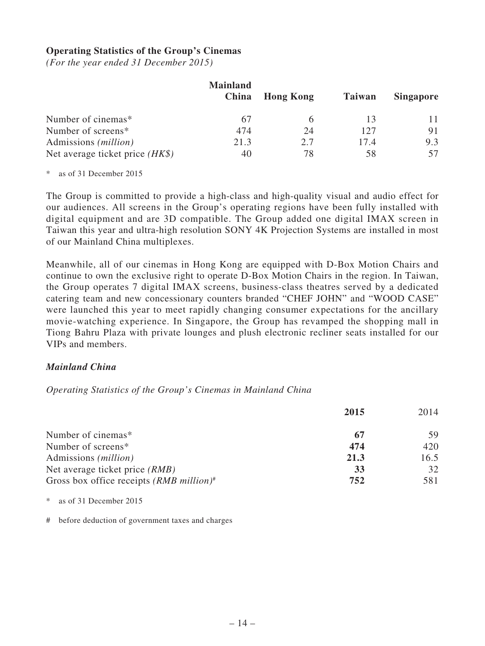### **Operating Statistics of the Group's Cinemas**

*(For the year ended 31 December 2015)*

|                                   | <b>Mainland</b><br>China | <b>Hong Kong</b> | <b>Taiwan</b> | <b>Singapore</b> |
|-----------------------------------|--------------------------|------------------|---------------|------------------|
|                                   |                          |                  |               |                  |
| Number of cinemas*                | 67                       | h                |               | 11               |
| Number of screens*                | 474                      | 24               | 127           | 91               |
| Admissions ( <i>million</i> )     | 21.3                     | 2.7              | 17.4          | 9.3              |
| Net average ticket price $(HK\$ ) | 40                       | 78               | 58            | 57               |

\* as of 31 December 2015

The Group is committed to provide a high-class and high-quality visual and audio effect for our audiences. All screens in the Group's operating regions have been fully installed with digital equipment and are 3D compatible. The Group added one digital IMAX screen in Taiwan this year and ultra-high resolution SONY 4K Projection Systems are installed in most of our Mainland China multiplexes.

Meanwhile, all of our cinemas in Hong Kong are equipped with D-Box Motion Chairs and continue to own the exclusive right to operate D-Box Motion Chairs in the region. In Taiwan, the Group operates 7 digital IMAX screens, business-class theatres served by a dedicated catering team and new concessionary counters branded "CHEF JOHN" and "WOOD CASE" were launched this year to meet rapidly changing consumer expectations for the ancillary movie-watching experience. In Singapore, the Group has revamped the shopping mall in Tiong Bahru Plaza with private lounges and plush electronic recliner seats installed for our VIPs and members.

### *Mainland China*

*Operating Statistics of the Group's Cinemas in Mainland China*

|                                                        | 2015 | 2014 |
|--------------------------------------------------------|------|------|
| Number of cinemas*                                     |      | 59   |
| Number of screens*                                     | 474  | 420  |
| Admissions ( <i>million</i> )                          | 21.3 | 16.5 |
| Net average ticket price <i>(RMB)</i>                  | 33   | 32   |
| Gross box office receipts $(RMB$ million) <sup>#</sup> | 752  | 581  |

as of 31 December 2015

# before deduction of government taxes and charges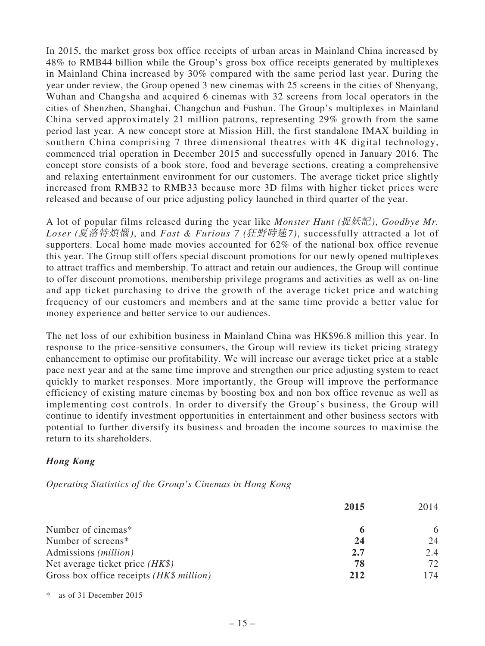In 2015, the market gross box office receipts of urban areas in Mainland China increased by 48% to RMB44 billion while the Group's gross box office receipts generated by multiplexes in Mainland China increased by 30% compared with the same period last year. During the year under review, the Group opened 3 new cinemas with 25 screens in the cities of Shenyang, Wuhan and Changsha and acquired 6 cinemas with 32 screens from local operators in the cities of Shenzhen, Shanghai, Changchun and Fushun. The Group's multiplexes in Mainland China served approximately 21 million patrons, representing 29% growth from the same period last year. A new concept store at Mission Hill, the first standalone IMAX building in southern China comprising 7 three dimensional theatres with 4K digital technology, commenced trial operation in December 2015 and successfully opened in January 2016. The concept store consists of a book store, food and beverage sections, creating a comprehensive and relaxing entertainment environment for our customers. The average ticket price slightly increased from RMB32 to RMB33 because more 3D films with higher ticket prices were released and because of our price adjusting policy launched in third quarter of the year.

A lot of popular films released during the year like *Monster Hunt (*捉妖記*)*, *Goodbye Mr. Loser (*夏洛特煩惱*)*, and *Fast & Furious 7 (*狂野時速<sup>7</sup> *)*, successfully attracted a lot of supporters. Local home made movies accounted for 62% of the national box office revenue this year. The Group still offers special discount promotions for our newly opened multiplexes to attract traffics and membership. To attract and retain our audiences, the Group will continue to offer discount promotions, membership privilege programs and activities as well as on-line and app ticket purchasing to drive the growth of the average ticket price and watching frequency of our customers and members and at the same time provide a better value for money experience and better service to our audiences.

The net loss of our exhibition business in Mainland China was HK\$96.8 million this year. In response to the price-sensitive consumers, the Group will review its ticket pricing strategy enhancement to optimise our profitability. We will increase our average ticket price at a stable pace next year and at the same time improve and strengthen our price adjusting system to react quickly to market responses. More importantly, the Group will improve the performance efficiency of existing mature cinemas by boosting box and non box office revenue as well as implementing cost controls. In order to diversify the Group's business, the Group will continue to identify investment opportunities in entertainment and other business sectors with potential to further diversify its business and broaden the income sources to maximise the return to its shareholders.

## *Hong Kong*

*Operating Statistics of the Group's Cinemas in Hong Kong*

|                                          | 2015 | 2014 |
|------------------------------------------|------|------|
| Number of cinemas*                       | 6    | 6    |
| Number of screens*                       | 24   | 24   |
| Admissions ( <i>million</i> )            | 2.7  | 2.4  |
| Net average ticket price $(HK\$ )        | 78   | 72   |
| Gross box office receipts (HK\$ million) | 212  | 174  |

as of 31 December 2015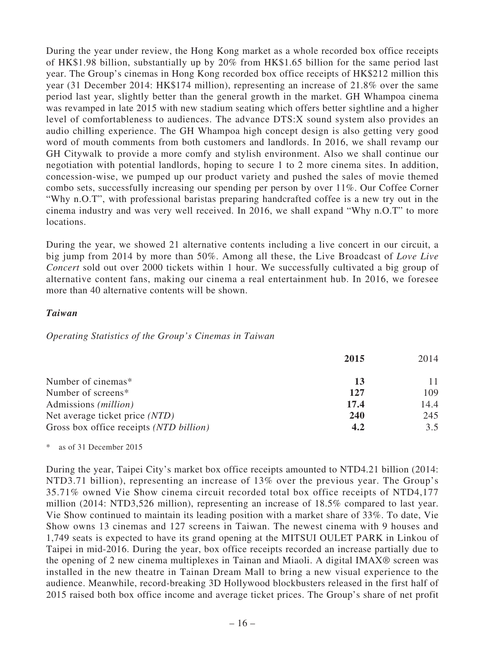During the year under review, the Hong Kong market as a whole recorded box office receipts of HK\$1.98 billion, substantially up by 20% from HK\$1.65 billion for the same period last year. The Group's cinemas in Hong Kong recorded box office receipts of HK\$212 million this year (31 December 2014: HK\$174 million), representing an increase of 21.8% over the same period last year, slightly better than the general growth in the market. GH Whampoa cinema was revamped in late 2015 with new stadium seating which offers better sightline and a higher level of comfortableness to audiences. The advance DTS:X sound system also provides an audio chilling experience. The GH Whampoa high concept design is also getting very good word of mouth comments from both customers and landlords. In 2016, we shall revamp our GH Citywalk to provide a more comfy and stylish environment. Also we shall continue our negotiation with potential landlords, hoping to secure 1 to 2 more cinema sites. In addition, concession-wise, we pumped up our product variety and pushed the sales of movie themed combo sets, successfully increasing our spending per person by over 11%. Our Coffee Corner "Why n.O.T", with professional baristas preparing handcrafted coffee is a new try out in the cinema industry and was very well received. In 2016, we shall expand "Why n.O.T" to more locations.

During the year, we showed 21 alternative contents including a live concert in our circuit, a big jump from 2014 by more than 50%. Among all these, the Live Broadcast of *Love Live Concert* sold out over 2000 tickets within 1 hour. We successfully cultivated a big group of alternative content fans, making our cinema a real entertainment hub. In 2016, we foresee more than 40 alternative contents will be shown.

### *Taiwan*

### *Operating Statistics of the Group's Cinemas in Taiwan*

|                                         | 2015       | 2014 |
|-----------------------------------------|------------|------|
| Number of cinemas*                      | 13         |      |
| Number of screens*                      | 127        | 109  |
| Admissions ( <i>million</i> )           | 17.4       | 14.4 |
| Net average ticket price (NTD)          | <b>240</b> | 245  |
| Gross box office receipts (NTD billion) | 4.2        | 3.5  |

\* as of 31 December 2015

During the year, Taipei City's market box office receipts amounted to NTD4.21 billion (2014: NTD3.71 billion), representing an increase of 13% over the previous year. The Group's 35.71% owned Vie Show cinema circuit recorded total box office receipts of NTD4,177 million (2014: NTD3,526 million), representing an increase of 18.5% compared to last year. Vie Show continued to maintain its leading position with a market share of 33%. To date, Vie Show owns 13 cinemas and 127 screens in Taiwan. The newest cinema with 9 houses and 1,749 seats is expected to have its grand opening at the MITSUI OULET PARK in Linkou of Taipei in mid-2016. During the year, box office receipts recorded an increase partially due to the opening of 2 new cinema multiplexes in Tainan and Miaoli. A digital IMAX® screen was installed in the new theatre in Tainan Dream Mall to bring a new visual experience to the audience. Meanwhile, record-breaking 3D Hollywood blockbusters released in the first half of 2015 raised both box office income and average ticket prices. The Group's share of net profit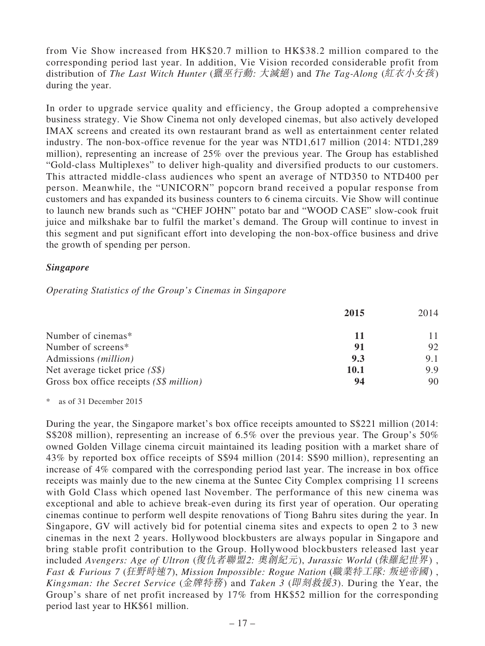from Vie Show increased from HK\$20.7 million to HK\$38.2 million compared to the corresponding period last year. In addition, Vie Vision recorded considerable profit from distribution of *The Last Witch Hunter* (獵巫行動: 大滅絕) and *The Tag-Along* (紅衣小女孩) during the year.

In order to upgrade service quality and efficiency, the Group adopted a comprehensive business strategy. Vie Show Cinema not only developed cinemas, but also actively developed IMAX screens and created its own restaurant brand as well as entertainment center related industry. The non-box-office revenue for the year was NTD1,617 million (2014: NTD1,289 million), representing an increase of 25% over the previous year. The Group has established "Gold-class Multiplexes" to deliver high-quality and diversified products to our customers. This attracted middle-class audiences who spent an average of NTD350 to NTD400 per person. Meanwhile, the "UNICORN" popcorn brand received a popular response from customers and has expanded its business counters to 6 cinema circuits. Vie Show will continue to launch new brands such as "CHEF JOHN" potato bar and "WOOD CASE" slow-cook fruit juice and milkshake bar to fulfil the market's demand. The Group will continue to invest in this segment and put significant effort into developing the non-box-office business and drive the growth of spending per person.

### *Singapore*

*Operating Statistics of the Group's Cinemas in Singapore*

|                                         | 2015        | 2014 |
|-----------------------------------------|-------------|------|
| Number of cinemas*                      | 11          |      |
| Number of screens*                      | 91          | 92   |
| Admissions ( <i>million</i> )           | 9.3         | 9.1  |
| Net average ticket price $(S\$ )        | <b>10.1</b> | 9.9  |
| Gross box office receipts (S\$ million) | 94          | 90   |

\* as of 31 December 2015

During the year, the Singapore market's box office receipts amounted to S\$221 million (2014: S\$208 million), representing an increase of 6.5% over the previous year. The Group's 50% owned Golden Village cinema circuit maintained its leading position with a market share of 43% by reported box office receipts of S\$94 million (2014: S\$90 million), representing an increase of 4% compared with the corresponding period last year. The increase in box office receipts was mainly due to the new cinema at the Suntec City Complex comprising 11 screens with Gold Class which opened last November. The performance of this new cinema was exceptional and able to achieve break-even during its first year of operation. Our operating cinemas continue to perform well despite renovations of Tiong Bahru sites during the year. In Singapore, GV will actively bid for potential cinema sites and expects to open 2 to 3 new cinemas in the next 2 years. Hollywood blockbusters are always popular in Singapore and bring stable profit contribution to the Group. Hollywood blockbusters released last year included *Avengers: Age of Ultron* (復仇者聯盟2: 奧創紀元), *Jurassic World* (侏羅紀世界) , *Fast & Furious 7* (狂野時速7), *Mission Impossible: Rogue Nation* (職業特工隊: 叛逆帝國) , *Kingsman: the Secret Service* (金牌特務) and *Taken 3* (即刻救援3). During the Year, the Group's share of net profit increased by 17% from HK\$52 million for the corresponding period last year to HK\$61 million.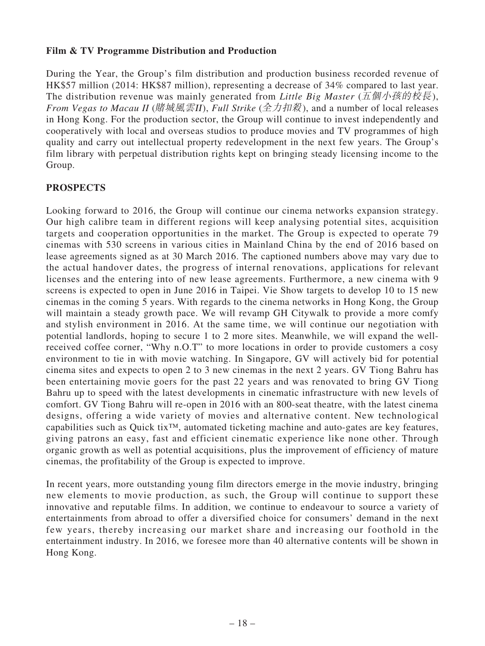## **Film & TV Programme Distribution and Production**

During the Year, the Group's film distribution and production business recorded revenue of HK\$57 million (2014: HK\$87 million), representing a decrease of 34% compared to last year. The distribution revenue was mainly generated from *Little Big Master* (五個小孩的校長), *From Vegas to Macau II* (賭城風雲II), *Full Strike* (全力扣殺), and a number of local releases in Hong Kong. For the production sector, the Group will continue to invest independently and cooperatively with local and overseas studios to produce movies and TV programmes of high quality and carry out intellectual property redevelopment in the next few years. The Group's film library with perpetual distribution rights kept on bringing steady licensing income to the Group.

# **PROSPECTS**

Looking forward to 2016, the Group will continue our cinema networks expansion strategy. Our high calibre team in different regions will keep analysing potential sites, acquisition targets and cooperation opportunities in the market. The Group is expected to operate 79 cinemas with 530 screens in various cities in Mainland China by the end of 2016 based on lease agreements signed as at 30 March 2016. The captioned numbers above may vary due to the actual handover dates, the progress of internal renovations, applications for relevant licenses and the entering into of new lease agreements. Furthermore, a new cinema with 9 screens is expected to open in June 2016 in Taipei. Vie Show targets to develop 10 to 15 new cinemas in the coming 5 years. With regards to the cinema networks in Hong Kong, the Group will maintain a steady growth pace. We will revamp GH Citywalk to provide a more comfy and stylish environment in 2016. At the same time, we will continue our negotiation with potential landlords, hoping to secure 1 to 2 more sites. Meanwhile, we will expand the wellreceived coffee corner, "Why n.O.T" to more locations in order to provide customers a cosy environment to tie in with movie watching. In Singapore, GV will actively bid for potential cinema sites and expects to open 2 to 3 new cinemas in the next 2 years. GV Tiong Bahru has been entertaining movie goers for the past 22 years and was renovated to bring GV Tiong Bahru up to speed with the latest developments in cinematic infrastructure with new levels of comfort. GV Tiong Bahru will re-open in 2016 with an 800-seat theatre, with the latest cinema designs, offering a wide variety of movies and alternative content. New technological capabilities such as Quick tix™, automated ticketing machine and auto-gates are key features, giving patrons an easy, fast and efficient cinematic experience like none other. Through organic growth as well as potential acquisitions, plus the improvement of efficiency of mature cinemas, the profitability of the Group is expected to improve.

In recent years, more outstanding young film directors emerge in the movie industry, bringing new elements to movie production, as such, the Group will continue to support these innovative and reputable films. In addition, we continue to endeavour to source a variety of entertainments from abroad to offer a diversified choice for consumers' demand in the next few years, thereby increasing our market share and increasing our foothold in the entertainment industry. In 2016, we foresee more than 40 alternative contents will be shown in Hong Kong.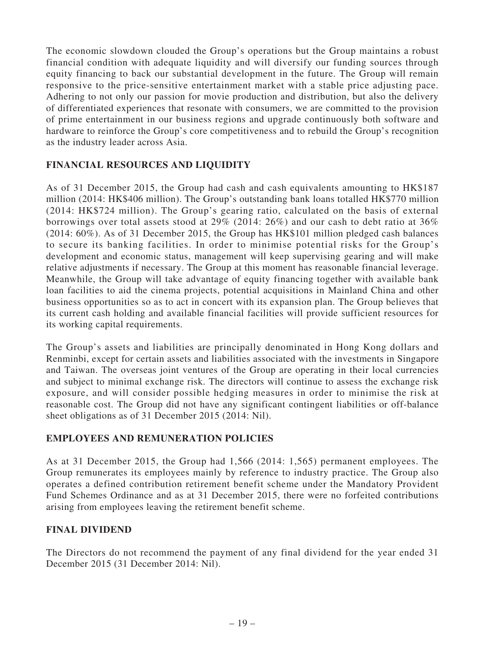The economic slowdown clouded the Group's operations but the Group maintains a robust financial condition with adequate liquidity and will diversify our funding sources through equity financing to back our substantial development in the future. The Group will remain responsive to the price-sensitive entertainment market with a stable price adjusting pace. Adhering to not only our passion for movie production and distribution, but also the delivery of differentiated experiences that resonate with consumers, we are committed to the provision of prime entertainment in our business regions and upgrade continuously both software and hardware to reinforce the Group's core competitiveness and to rebuild the Group's recognition as the industry leader across Asia.

# **FINANCIAL RESOURCES AND LIQUIDITY**

As of 31 December 2015, the Group had cash and cash equivalents amounting to HK\$187 million (2014: HK\$406 million). The Group's outstanding bank loans totalled HK\$770 million (2014: HK\$724 million). The Group's gearing ratio, calculated on the basis of external borrowings over total assets stood at 29% (2014: 26%) and our cash to debt ratio at 36% (2014: 60%). As of 31 December 2015, the Group has HK\$101 million pledged cash balances to secure its banking facilities. In order to minimise potential risks for the Group's development and economic status, management will keep supervising gearing and will make relative adjustments if necessary. The Group at this moment has reasonable financial leverage. Meanwhile, the Group will take advantage of equity financing together with available bank loan facilities to aid the cinema projects, potential acquisitions in Mainland China and other business opportunities so as to act in concert with its expansion plan. The Group believes that its current cash holding and available financial facilities will provide sufficient resources for its working capital requirements.

The Group's assets and liabilities are principally denominated in Hong Kong dollars and Renminbi, except for certain assets and liabilities associated with the investments in Singapore and Taiwan. The overseas joint ventures of the Group are operating in their local currencies and subject to minimal exchange risk. The directors will continue to assess the exchange risk exposure, and will consider possible hedging measures in order to minimise the risk at reasonable cost. The Group did not have any significant contingent liabilities or off-balance sheet obligations as of 31 December 2015 (2014: Nil).

## **EMPLOYEES AND REMUNERATION POLICIES**

As at 31 December 2015, the Group had 1,566 (2014: 1,565) permanent employees. The Group remunerates its employees mainly by reference to industry practice. The Group also operates a defined contribution retirement benefit scheme under the Mandatory Provident Fund Schemes Ordinance and as at 31 December 2015, there were no forfeited contributions arising from employees leaving the retirement benefit scheme.

## **FINAL DIVIDEND**

The Directors do not recommend the payment of any final dividend for the year ended 31 December 2015 (31 December 2014: Nil).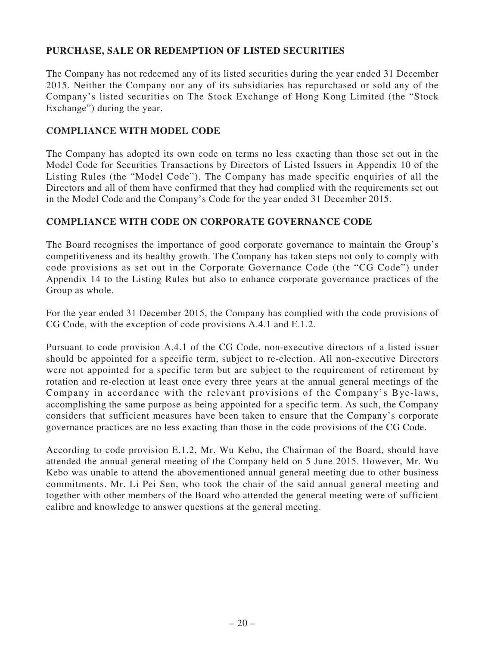# **PURCHASE, SALE OR REDEMPTION OF LISTED SECURITIES**

The Company has not redeemed any of its listed securities during the year ended 31 December 2015. Neither the Company nor any of its subsidiaries has repurchased or sold any of the Company's listed securities on The Stock Exchange of Hong Kong Limited (the "Stock Exchange") during the year.

## **COMPLIANCE WITH MODEL CODE**

The Company has adopted its own code on terms no less exacting than those set out in the Model Code for Securities Transactions by Directors of Listed Issuers in Appendix 10 of the Listing Rules (the "Model Code"). The Company has made specific enquiries of all the Directors and all of them have confirmed that they had complied with the requirements set out in the Model Code and the Company's Code for the year ended 31 December 2015.

### **COMPLIANCE WITH CODE ON CORPORATE GOVERNANCE CODE**

The Board recognises the importance of good corporate governance to maintain the Group's competitiveness and its healthy growth. The Company has taken steps not only to comply with code provisions as set out in the Corporate Governance Code (the "CG Code") under Appendix 14 to the Listing Rules but also to enhance corporate governance practices of the Group as whole.

For the year ended 31 December 2015, the Company has complied with the code provisions of CG Code, with the exception of code provisions A.4.1 and E.1.2.

Pursuant to code provision A.4.1 of the CG Code, non-executive directors of a listed issuer should be appointed for a specific term, subject to re-election. All non-executive Directors were not appointed for a specific term but are subject to the requirement of retirement by rotation and re-election at least once every three years at the annual general meetings of the Company in accordance with the relevant provisions of the Company's Bye-laws, accomplishing the same purpose as being appointed for a specific term. As such, the Company considers that sufficient measures have been taken to ensure that the Company's corporate governance practices are no less exacting than those in the code provisions of the CG Code.

According to code provision E.1.2, Mr. Wu Kebo, the Chairman of the Board, should have attended the annual general meeting of the Company held on 5 June 2015. However, Mr. Wu Kebo was unable to attend the abovementioned annual general meeting due to other business commitments. Mr. Li Pei Sen, who took the chair of the said annual general meeting and together with other members of the Board who attended the general meeting were of sufficient calibre and knowledge to answer questions at the general meeting.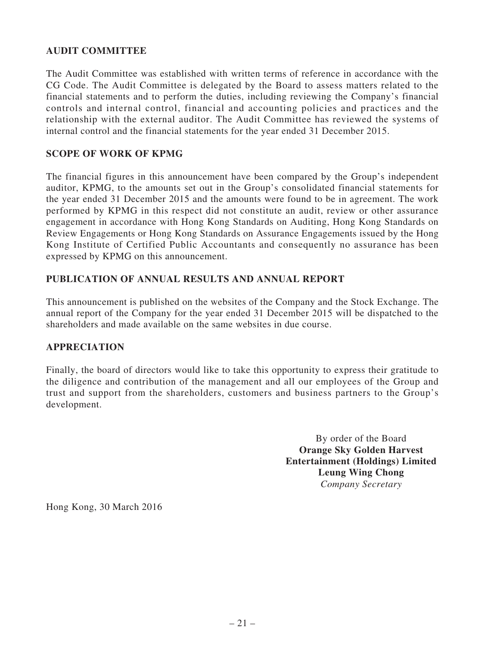# **AUDIT COMMITTEE**

The Audit Committee was established with written terms of reference in accordance with the CG Code. The Audit Committee is delegated by the Board to assess matters related to the financial statements and to perform the duties, including reviewing the Company's financial controls and internal control, financial and accounting policies and practices and the relationship with the external auditor. The Audit Committee has reviewed the systems of internal control and the financial statements for the year ended 31 December 2015.

## **SCOPE OF WORK OF KPMG**

The financial figures in this announcement have been compared by the Group's independent auditor, KPMG, to the amounts set out in the Group's consolidated financial statements for the year ended 31 December 2015 and the amounts were found to be in agreement. The work performed by KPMG in this respect did not constitute an audit, review or other assurance engagement in accordance with Hong Kong Standards on Auditing, Hong Kong Standards on Review Engagements or Hong Kong Standards on Assurance Engagements issued by the Hong Kong Institute of Certified Public Accountants and consequently no assurance has been expressed by KPMG on this announcement.

### **PUBLICATION OF ANNUAL RESULTS AND ANNUAL REPORT**

This announcement is published on the websites of the Company and the Stock Exchange. The annual report of the Company for the year ended 31 December 2015 will be dispatched to the shareholders and made available on the same websites in due course.

## **APPRECIATION**

Finally, the board of directors would like to take this opportunity to express their gratitude to the diligence and contribution of the management and all our employees of the Group and trust and support from the shareholders, customers and business partners to the Group's development.

> By order of the Board **Orange Sky Golden Harvest Entertainment (Holdings) Limited Leung Wing Chong** *Company Secretary*

Hong Kong, 30 March 2016